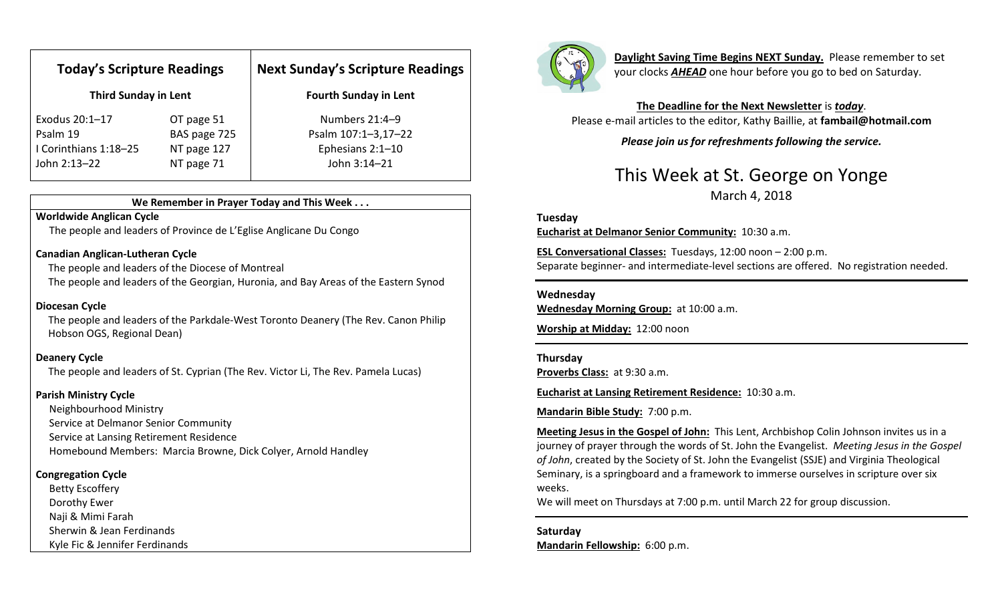| <b>Today's Scripture Readings</b><br><b>Third Sunday in Lent</b> |              | <b>Next Sunday's Scripture Readings</b><br><b>Fourth Sunday in Lent</b> |
|------------------------------------------------------------------|--------------|-------------------------------------------------------------------------|
|                                                                  |              |                                                                         |
| Psalm 19                                                         | BAS page 725 | Psalm 107:1-3,17-22                                                     |
| I Corinthians 1:18-25                                            | NT page 127  | Ephesians 2:1-10                                                        |
| John 2:13-22                                                     | NT page 71   | John 3:14-21                                                            |

#### We Remember in Prayer Today and This Week . . .

### Worldwide Anglican Cycle

The people and leaders of Province de L'Eglise Anglicane Du Congo

#### Canadian Anglican-Lutheran Cycle

The people and leaders of the Diocese of Montreal

The people and leaders of the Georgian, Huronia, and Bay Areas of the Eastern Synod

#### Diocesan Cycle

The people and leaders of the Parkdale-West Toronto Deanery (The Rev. Canon Philip Hobson OGS, Regional Dean)

### Deanery Cycle

The people and leaders of St. Cyprian (The Rev. Victor Li, The Rev. Pamela Lucas)

### Parish Ministry Cycle

Neighbourhood Ministry Service at Delmanor Senior Community Service at Lansing Retirement Residence Homebound Members: Marcia Browne, Dick Colyer, Arnold Handley

### Congregation Cycle

Betty Escoffery Dorothy Ewer Naji & Mimi Farah Sherwin & Jean Ferdinands Kyle Fic & Jennifer Ferdinands



Daylight Saving Time Begins NEXT Sunday. Please remember to set your clocks **AHEAD** one hour before you go to bed on Saturday.

The Deadline for the Next Newsletter is today. Please e-mail articles to the editor, Kathy Baillie, at fambail@hotmail.com

Please join us for refreshments following the service.

## This Week at St. George on Yonge March 4, 2018

### Tuesday

Eucharist at Delmanor Senior Community: 10:30 a.m.

ESL Conversational Classes: Tuesdays, 12:00 noon – 2:00 p.m. Separate beginner- and intermediate-level sections are offered. No registration needed.

#### Wednesday

Wednesday Morning Group: at 10:00 a.m.

Worship at Midday: 12:00 noon

### Thursday

Proverbs Class: at 9:30 a.m.

Eucharist at Lansing Retirement Residence: 10:30 a.m.

Mandarin Bible Study: 7:00 p.m.

Meeting Jesus in the Gospel of John: This Lent, Archbishop Colin Johnson invites us in a journey of prayer through the words of St. John the Evangelist. Meeting Jesus in the Gospel of John, created by the Society of St. John the Evangelist (SSJE) and Virginia Theological Seminary, is a springboard and a framework to immerse ourselves in scripture over six weeks.

We will meet on Thursdays at 7:00 p.m. until March 22 for group discussion.

Saturday Mandarin Fellowship: 6:00 p.m.